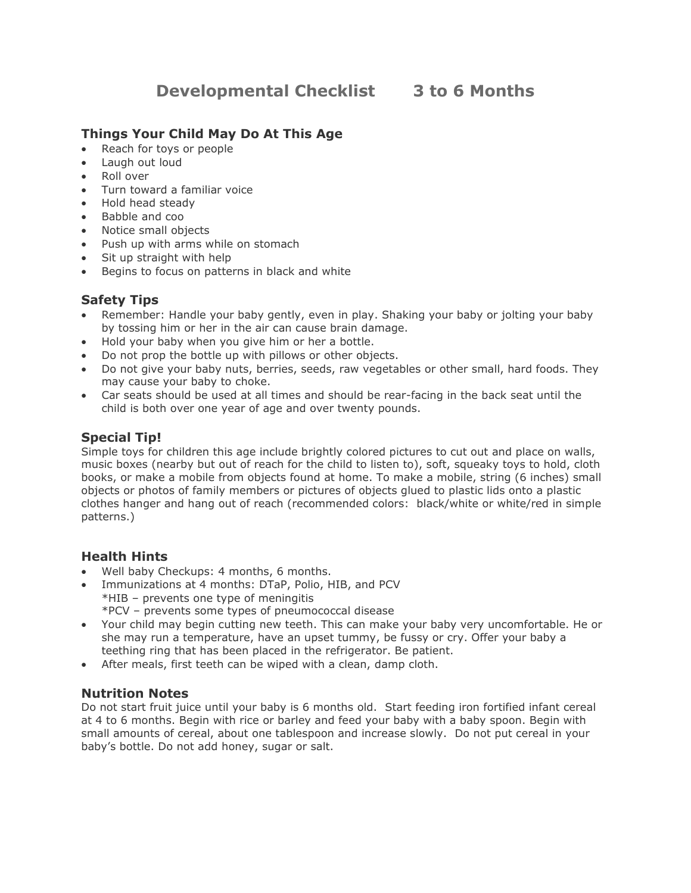# **Things Your Child May Do At This Age**

- Reach for toys or people
- Laugh out loud
- Roll over
- Turn toward a familiar voice
- Hold head steady
- Babble and coo
- Notice small objects
- Push up with arms while on stomach
- Sit up straight with help
- Begins to focus on patterns in black and white

### **Safety Tips**

- Remember: Handle your baby gently, even in play. Shaking your baby or jolting your baby by tossing him or her in the air can cause brain damage.
- Hold your baby when you give him or her a bottle.
- Do not prop the bottle up with pillows or other objects.
- Do not give your baby nuts, berries, seeds, raw vegetables or other small, hard foods. They may cause your baby to choke.
- Car seats should be used at all times and should be rear-facing in the back seat until the child is both over one year of age and over twenty pounds.

# **Special Tip!**

Simple toys for children this age include brightly colored pictures to cut out and place on walls, music boxes (nearby but out of reach for the child to listen to), soft, squeaky toys to hold, cloth books, or make a mobile from objects found at home. To make a mobile, string (6 inches) small objects or photos of family members or pictures of objects glued to plastic lids onto a plastic clothes hanger and hang out of reach (recommended colors: black/white or white/red in simple patterns.)

## **Health Hints**

- Well baby Checkups: 4 months, 6 months.
- Immunizations at 4 months: DTaP, Polio, HIB, and PCV
	- \*HIB prevents one type of meningitis
	- \*PCV prevents some types of pneumococcal disease
- Your child may begin cutting new teeth. This can make your baby very uncomfortable. He or she may run a temperature, have an upset tummy, be fussy or cry. Offer your baby a teething ring that has been placed in the refrigerator. Be patient.
- After meals, first teeth can be wiped with a clean, damp cloth.

## **Nutrition Notes**

Do not start fruit juice until your baby is 6 months old. Start feeding iron fortified infant cereal at 4 to 6 months. Begin with rice or barley and feed your baby with a baby spoon. Begin with small amounts of cereal, about one tablespoon and increase slowly. Do not put cereal in your baby's bottle. Do not add honey, sugar or salt.